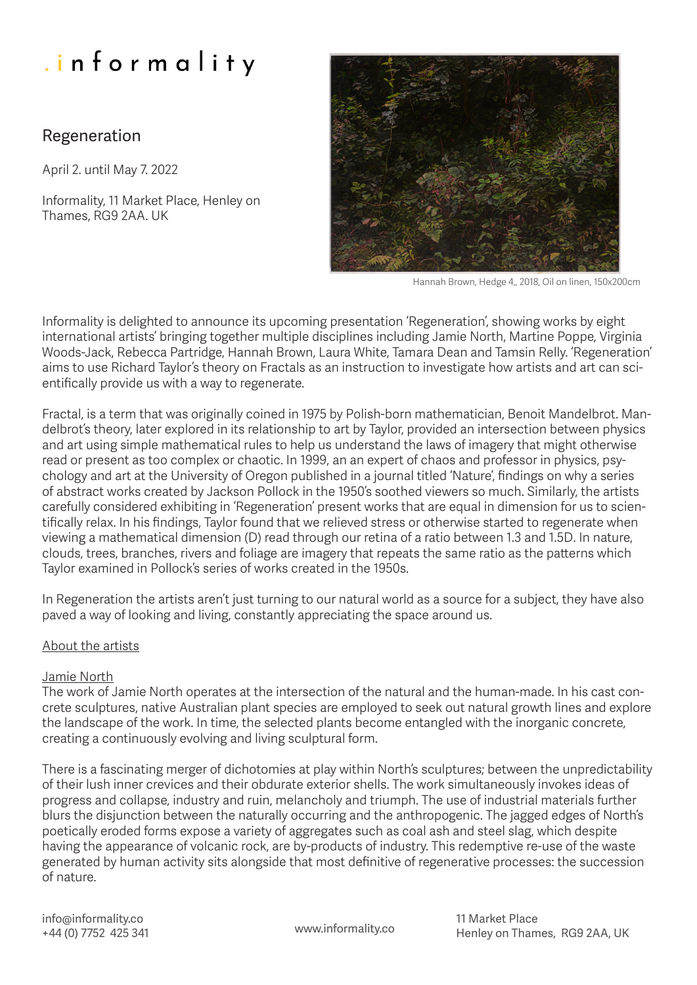# Regeneration

April 2. until May 7. 2022

Informality, 11 Market Place, Henley on Thames, RG9 2AA. UK



Hannah Brown, Hedge 4,, 2018, Oil on linen, 150x200cm

Informality is delighted to announce its upcoming presentation 'Regeneration', showing works by eight international artists' bringing together multiple disciplines including Jamie North, Martine Poppe, Virginia Woods-Jack, Rebecca Partridge, Hannah Brown, Laura White, Tamara Dean and Tamsin Relly. 'Regeneration' aims to use Richard Taylor's theory on Fractals as an instruction to investigate how artists and art can scientifically provide us with a way to regenerate.

Fractal, is a term that was originally coined in 1975 by Polish-born mathematician, Benoit Mandelbrot. Mandelbrot's theory, later explored in its relationship to art by Taylor, provided an intersection between physics and art using simple mathematical rules to help us understand the laws of imagery that might otherwise read or present as too complex or chaotic. In 1999, an an expert of chaos and professor in physics, psychology and art at the University of Oregon published in a journal titled 'Nature', findings on why a series of abstract works created by Jackson Pollock in the 1950's soothed viewers so much. Similarly, the artists carefully considered exhibiting in 'Regeneration' present works that are equal in dimension for us to scientifically relax. In his findings, Taylor found that we relieved stress or otherwise started to regenerate when viewing a mathematical dimension (D) read through our retina of a ratio between 1.3 and 1.5D. In nature, clouds, trees, branches, rivers and foliage are imagery that repeats the same ratio as the patterns which Taylor examined in Pollock's series of works created in the 1950s.

In Regeneration the artists aren't just turning to our natural world as a source for a subject, they have also paved a way of looking and living, constantly appreciating the space around us.

# About the artists

# Jamie North

The work of Jamie North operates at the intersection of the natural and the human-made. In his cast concrete sculptures, native Australian plant species are employed to seek out natural growth lines and explore the landscape of the work. In time, the selected plants become entangled with the inorganic concrete, creating a continuously evolving and living sculptural form.

There is a fascinating merger of dichotomies at play within North's sculptures; between the unpredictability of their lush inner crevices and their obdurate exterior shells. The work simultaneously invokes ideas of progress and collapse, industry and ruin, melancholy and triumph. The use of industrial materials further blurs the disjunction between the naturally occurring and the anthropogenic. The jagged edges of North's poetically eroded forms expose a variety of aggregates such as coal ash and steel slag, which despite having the appearance of volcanic rock, are by-products of industry. This redemptive re-use of the waste generated by human activity sits alongside that most definitive of regenerative processes: the succession of nature.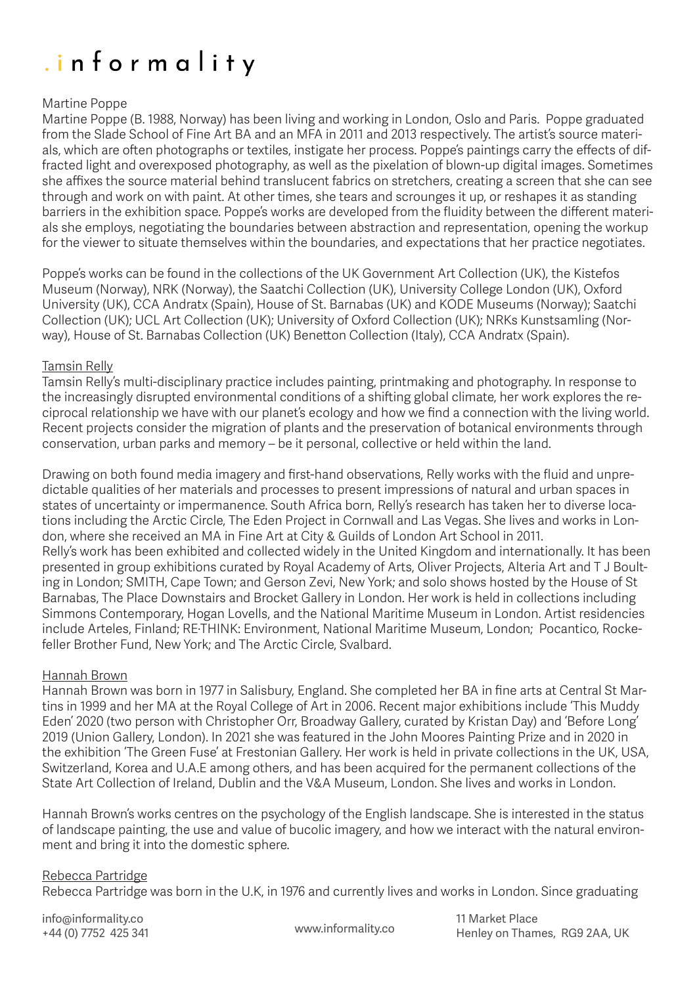### Martine Poppe

Martine Poppe (B. 1988, Norway) has been living and working in London, Oslo and Paris. Poppe graduated from the Slade School of Fine Art BA and an MFA in 2011 and 2013 respectively. The artist's source materials, which are often photographs or textiles, instigate her process. Poppe's paintings carry the effects of diffracted light and overexposed photography, as well as the pixelation of blown-up digital images. Sometimes she affixes the source material behind translucent fabrics on stretchers, creating a screen that she can see through and work on with paint. At other times, she tears and scrounges it up, or reshapes it as standing barriers in the exhibition space. Poppe's works are developed from the fluidity between the different materials she employs, negotiating the boundaries between abstraction and representation, opening the workup for the viewer to situate themselves within the boundaries, and expectations that her practice negotiates.

Poppe's works can be found in the collections of the UK Government Art Collection (UK), the Kistefos Museum (Norway), NRK (Norway), the Saatchi Collection (UK), University College London (UK), Oxford University (UK), CCA Andratx (Spain), House of St. Barnabas (UK) and KODE Museums (Norway); Saatchi Collection (UK); UCL Art Collection (UK); University of Oxford Collection (UK); NRKs Kunstsamling (Norway), House of St. Barnabas Collection (UK) Benetton Collection (Italy), CCA Andratx (Spain).

#### Tamsin Relly

Tamsin Relly's multi-disciplinary practice includes painting, printmaking and photography. In response to the increasingly disrupted environmental conditions of a shifting global climate, her work explores the reciprocal relationship we have with our planet's ecology and how we find a connection with the living world. Recent projects consider the migration of plants and the preservation of botanical environments through conservation, urban parks and memory – be it personal, collective or held within the land.

Drawing on both found media imagery and first-hand observations, Relly works with the fluid and unpredictable qualities of her materials and processes to present impressions of natural and urban spaces in states of uncertainty or impermanence. South Africa born, Relly's research has taken her to diverse locations including the Arctic Circle, The Eden Project in Cornwall and Las Vegas. She lives and works in London, where she received an MA in Fine Art at City & Guilds of London Art School in 2011. Relly's work has been exhibited and collected widely in the United Kingdom and internationally. It has been presented in group exhibitions curated by Royal Academy of Arts, Oliver Projects, Alteria Art and T J Boulting in London; SMITH, Cape Town; and Gerson Zevi, New York; and solo shows hosted by the House of St Barnabas, The Place Downstairs and Brocket Gallery in London. Her work is held in collections including Simmons Contemporary, Hogan Lovells, and the National Maritime Museum in London. Artist residencies include Arteles, Finland; RE·THINK: Environment, National Maritime Museum, London; Pocantico, Rockefeller Brother Fund, New York; and The Arctic Circle, Svalbard.

#### Hannah Brown

Hannah Brown was born in 1977 in Salisbury, England. She completed her BA in fine arts at Central St Martins in 1999 and her MA at the Royal College of Art in 2006. Recent major exhibitions include 'This Muddy Eden' 2020 (two person with Christopher Orr, Broadway Gallery, curated by Kristan Day) and 'Before Long' 2019 (Union Gallery, London). In 2021 she was featured in the John Moores Painting Prize and in 2020 in the exhibition 'The Green Fuse' at Frestonian Gallery. Her work is held in private collections in the UK, USA, Switzerland, Korea and U.A.E among others, and has been acquired for the permanent collections of the State Art Collection of Ireland, Dublin and the V&A Museum, London. She lives and works in London.

Hannah Brown's works centres on the psychology of the English landscape. She is interested in the status of landscape painting, the use and value of bucolic imagery, and how we interact with the natural environment and bring it into the domestic sphere.

#### Rebecca Partridge

Rebecca Partridge was born in the U.K, in 1976 and currently lives and works in London. Since graduating

info@informality.co +44 (0) 7752 425 341 www.informality.co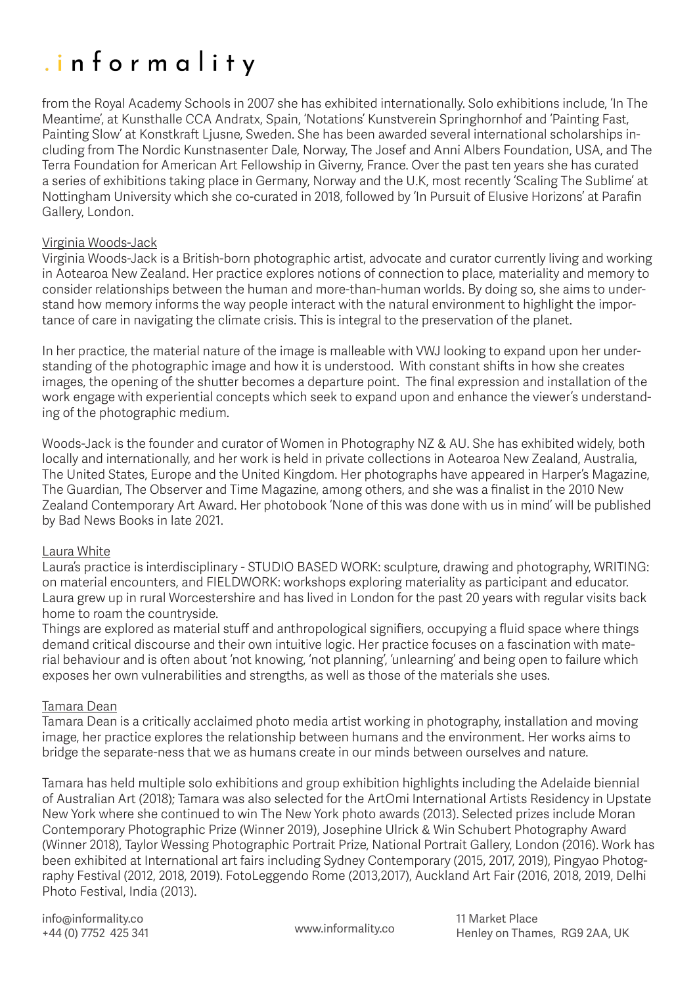from the Royal Academy Schools in 2007 she has exhibited internationally. Solo exhibitions include, 'In The Meantime', at Kunsthalle CCA Andratx, Spain, 'Notations' Kunstverein Springhornhof and 'Painting Fast, Painting Slow' at Konstkraft Ljusne, Sweden. She has been awarded several international scholarships including from The Nordic Kunstnasenter Dale, Norway, The Josef and Anni Albers Foundation, USA, and The Terra Foundation for American Art Fellowship in Giverny, France. Over the past ten years she has curated a series of exhibitions taking place in Germany, Norway and the U.K, most recently 'Scaling The Sublime' at Nottingham University which she co-curated in 2018, followed by 'In Pursuit of Elusive Horizons' at Parafin Gallery, London.

### Virginia Woods-Jack

Virginia Woods-Jack is a British-born photographic artist, advocate and curator currently living and working in Aotearoa New Zealand. Her practice explores notions of connection to place, materiality and memory to consider relationships between the human and more-than-human worlds. By doing so, she aims to understand how memory informs the way people interact with the natural environment to highlight the importance of care in navigating the climate crisis. This is integral to the preservation of the planet.

In her practice, the material nature of the image is malleable with VWJ looking to expand upon her understanding of the photographic image and how it is understood. With constant shifts in how she creates images, the opening of the shutter becomes a departure point. The final expression and installation of the work engage with experiential concepts which seek to expand upon and enhance the viewer's understanding of the photographic medium.

Woods-Jack is the founder and curator of Women in Photography NZ & AU. She has exhibited widely, both locally and internationally, and her work is held in private collections in Aotearoa New Zealand, Australia, The United States, Europe and the United Kingdom. Her photographs have appeared in Harper's Magazine, The Guardian, The Observer and Time Magazine, among others, and she was a finalist in the 2010 New Zealand Contemporary Art Award. Her photobook 'None of this was done with us in mind' will be published by Bad News Books in late 2021.

#### Laura White

Laura's practice is interdisciplinary - STUDIO BASED WORK: sculpture, drawing and photography, WRITING: on material encounters, and FIELDWORK: workshops exploring materiality as participant and educator. Laura grew up in rural Worcestershire and has lived in London for the past 20 years with regular visits back home to roam the countryside.

Things are explored as material stuff and anthropological signifiers, occupying a fluid space where things demand critical discourse and their own intuitive logic. Her practice focuses on a fascination with material behaviour and is often about 'not knowing, 'not planning', 'unlearning' and being open to failure which exposes her own vulnerabilities and strengths, as well as those of the materials she uses.

#### Tamara Dean

Tamara Dean is a critically acclaimed photo media artist working in photography, installation and moving image, her practice explores the relationship between humans and the environment. Her works aims to bridge the separate-ness that we as humans create in our minds between ourselves and nature.

Tamara has held multiple solo exhibitions and group exhibition highlights including the Adelaide biennial of Australian Art (2018); Tamara was also selected for the ArtOmi International Artists Residency in Upstate New York where she continued to win The New York photo awards (2013). Selected prizes include Moran Contemporary Photographic Prize (Winner 2019), Josephine Ulrick & Win Schubert Photography Award (Winner 2018), Taylor Wessing Photographic Portrait Prize, National Portrait Gallery, London (2016). Work has been exhibited at International art fairs including Sydney Contemporary (2015, 2017, 2019), Pingyao Photography Festival (2012, 2018, 2019). FotoLeggendo Rome (2013,2017), Auckland Art Fair (2016, 2018, 2019, Delhi Photo Festival, India (2013).